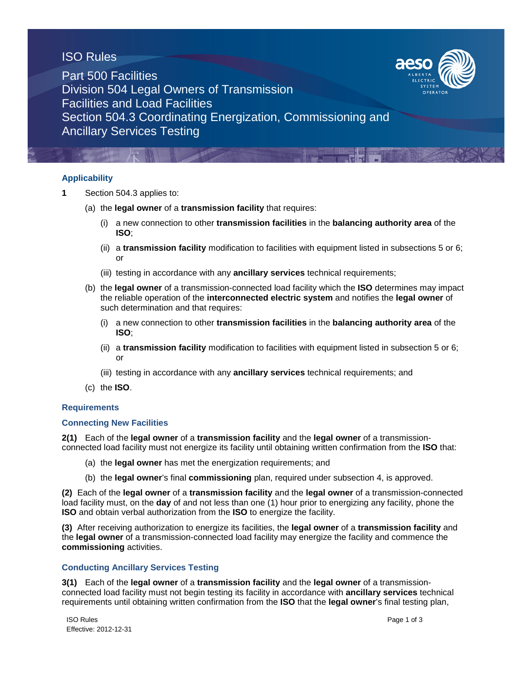# ISO Rules



Part 500 Facilities Division 504 Legal Owners of Transmission Facilities and Load Facilities Section 504.3 Coordinating Energization, Commissioning and Ancillary Services Testing

## **Applicability**

- **1** Section 504.3 applies to:
	- (a) the **legal owner** of a **transmission facility** that requires:
		- (i) a new connection to other **transmission facilities** in the **balancing authority area** of the **ISO**;
		- (ii) a **transmission facility** modification to facilities with equipment listed in subsections 5 or 6; or
		- (iii) testing in accordance with any **ancillary services** technical requirements;
	- (b) the **legal owner** of a transmission-connected load facility which the **ISO** determines may impact the reliable operation of the **interconnected electric system** and notifies the **legal owner** of such determination and that requires:
		- (i) a new connection to other **transmission facilities** in the **balancing authority area** of the **ISO**;
		- (ii) a **transmission facility** modification to facilities with equipment listed in subsection 5 or 6; or
		- (iii) testing in accordance with any **ancillary services** technical requirements; and
	- (c) the **ISO**.

#### **Requirements**

#### **Connecting New Facilities**

**2(1)** Each of the **legal owner** of a **transmission facility** and the **legal owner** of a transmissionconnected load facility must not energize its facility until obtaining written confirmation from the **ISO** that:

- (a) the **legal owner** has met the energization requirements; and
- (b) the **legal owner**'s final **commissioning** plan, required under subsection 4, is approved.

**(2)** Each of the **legal owner** of a **transmission facility** and the **legal owner** of a transmission-connected load facility must, on the **day** of and not less than one (1) hour prior to energizing any facility, phone the **ISO** and obtain verbal authorization from the **ISO** to energize the facility.

**(3)** After receiving authorization to energize its facilities, the **legal owner** of a **transmission facility** and the **legal owner** of a transmission-connected load facility may energize the facility and commence the **commissioning** activities.

#### **Conducting Ancillary Services Testing**

**3(1)** Each of the **legal owner** of a **transmission facility** and the **legal owner** of a transmissionconnected load facility must not begin testing its facility in accordance with **ancillary services** technical requirements until obtaining written confirmation from the **ISO** that the **legal owner**'s final testing plan,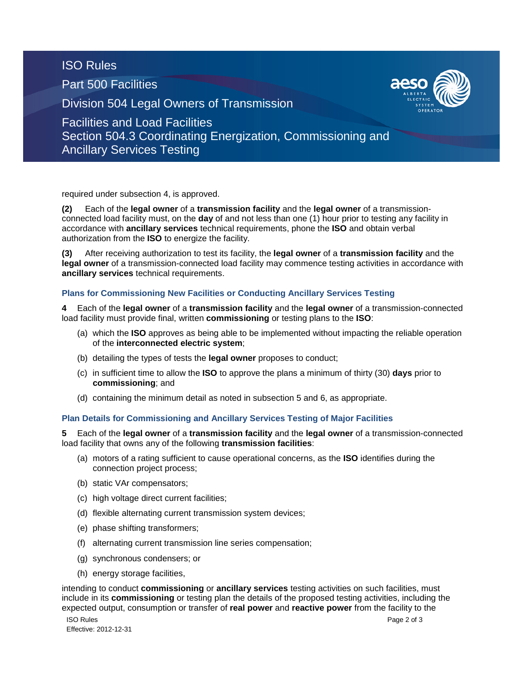ISO Rules

Part 500 Facilities

Division 504 Legal Owners of Transmission



Facilities and Load Facilities Section 504.3 Coordinating Energization, Commissioning and Ancillary Services Testing

required under subsection 4, is approved.

**(2)** Each of the **legal owner** of a **transmission facility** and the **legal owner** of a transmissionconnected load facility must, on the **day** of and not less than one (1) hour prior to testing any facility in accordance with **ancillary services** technical requirements, phone the **ISO** and obtain verbal authorization from the **ISO** to energize the facility.

**(3)** After receiving authorization to test its facility, the **legal owner** of a **transmission facility** and the **legal owner** of a transmission-connected load facility may commence testing activities in accordance with **ancillary services** technical requirements.

## **Plans for Commissioning New Facilities or Conducting Ancillary Services Testing**

**4** Each of the **legal owner** of a **transmission facility** and the **legal owner** of a transmission-connected load facility must provide final, written **commissioning** or testing plans to the **ISO**:

- (a) which the **ISO** approves as being able to be implemented without impacting the reliable operation of the **interconnected electric system**;
- (b) detailing the types of tests the **legal owner** proposes to conduct;
- (c) in sufficient time to allow the **ISO** to approve the plans a minimum of thirty (30) **days** prior to **commissioning**; and
- (d) containing the minimum detail as noted in subsection 5 and 6, as appropriate.

## **Plan Details for Commissioning and Ancillary Services Testing of Major Facilities**

**5** Each of the **legal owner** of a **transmission facility** and the **legal owner** of a transmission-connected load facility that owns any of the following **transmission facilities**:

- (a) motors of a rating sufficient to cause operational concerns, as the **ISO** identifies during the connection project process;
- (b) static VAr compensators;
- (c) high voltage direct current facilities;
- (d) flexible alternating current transmission system devices;
- (e) phase shifting transformers;
- (f) alternating current transmission line series compensation;
- (g) synchronous condensers; or
- (h) energy storage facilities,

intending to conduct **commissioning** or **ancillary services** testing activities on such facilities, must include in its **commissioning** or testing plan the details of the proposed testing activities, including the expected output, consumption or transfer of **real power** and **reactive power** from the facility to the